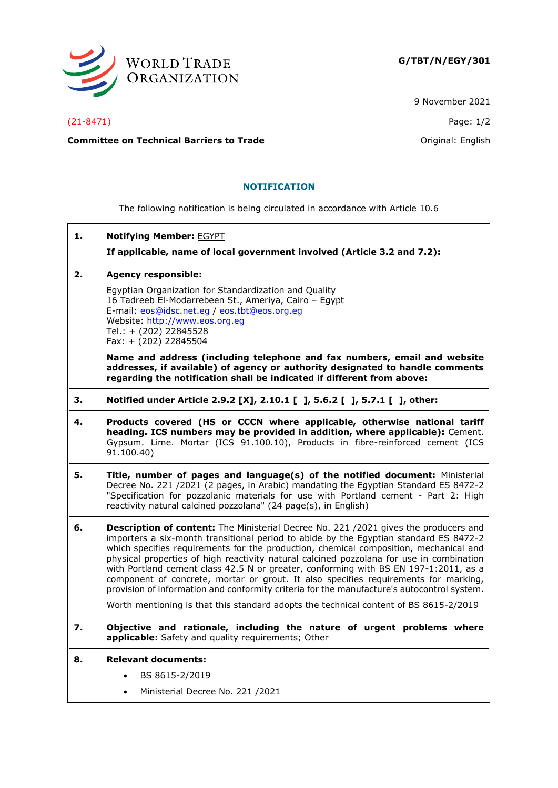

9 November 2021

(21-8471) Page: 1/2

**Committee on Technical Barriers to Trade Committee on Technical Barriers to Trade Original: English** 

## **NOTIFICATION**

The following notification is being circulated in accordance with Article 10.6

**1. Notifying Member:** EGYPT

**If applicable, name of local government involved (Article 3.2 and 7.2):**

**2. Agency responsible:**

Egyptian Organization for Standardization and Quality 16 Tadreeb El-Modarrebeen St., Ameriya, Cairo – Egypt E-mail: [eos@idsc.net.eg](mailto:eos@idsc.net.eg) / [eos.tbt@eos.org.eg](mailto:eos.tbt@eos.org.eg) Website: [http://www.eos.org.eg](http://www.eos.org.eg/) Tel.: + (202) 22845528 Fax: + (202) 22845504

**Name and address (including telephone and fax numbers, email and website addresses, if available) of agency or authority designated to handle comments regarding the notification shall be indicated if different from above:**

- **3. Notified under Article 2.9.2 [X], 2.10.1 [ ], 5.6.2 [ ], 5.7.1 [ ], other:**
- **4. Products covered (HS or CCCN where applicable, otherwise national tariff heading. ICS numbers may be provided in addition, where applicable):** Cement. Gypsum. Lime. Mortar (ICS 91.100.10), Products in fibre-reinforced cement (ICS 91.100.40)
- **5. Title, number of pages and language(s) of the notified document:** Ministerial Decree No. 221 /2021 (2 pages, in Arabic) mandating the Egyptian Standard ES 8472-2 "Specification for pozzolanic materials for use with Portland cement - Part 2: High reactivity natural calcined pozzolana" (24 page(s), in English)

**6. Description of content:** The Ministerial Decree No. 221 /2021 gives the producers and importers a six-month transitional period to abide by the Egyptian standard ES 8472-2 which specifies requirements for the production, chemical composition, mechanical and physical properties of high reactivity natural calcined pozzolana for use in combination with Portland cement class 42.5 N or greater, conforming with BS EN 197-1:2011, as a component of concrete, mortar or grout. It also specifies requirements for marking, provision of information and conformity criteria for the manufacture's autocontrol system.

Worth mentioning is that this standard adopts the technical content of BS 8615-2/2019

**7. Objective and rationale, including the nature of urgent problems where applicable:** Safety and quality requirements; Other

## **8. Relevant documents:**

- BS 8615-2/2019
- Ministerial Decree No. 221 /2021